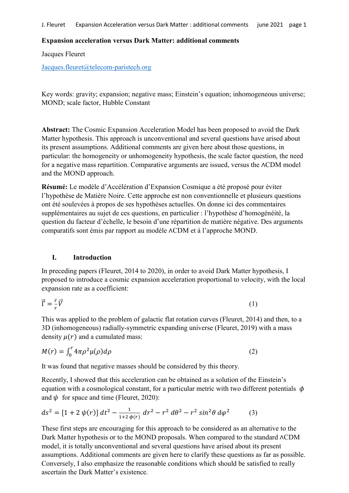### Expansion acceleration versus Dark Matter: additional comments

Jacques Fleuret

### Jacques.fleuret@telecom-paristech.org

Key words: gravity; expansion; negative mass; Einstein's equation; inhomogeneous universe; MOND; scale factor, Hubble Constant

Abstract: The Cosmic Expansion Acceleration Model has been proposed to avoid the Dark Matter hypothesis. This approach is unconventional and several questions have arised about its present assumptions. Additional comments are given here about those questions, in particular: the homogeneity or unhomogeneity hypothesis, the scale factor question, the need for a negative mass repartition. Comparative arguments are issued, versus the ∧CDM model and the MOND approach.

Résumé: Le modèle d'Accélération d'Expansion Cosmique a été proposé pour éviter l'hypothèse de Matière Noire. Cette approche est non conventionnelle et plusieurs questions ont été soulevées à propos de ses hypothèses actuelles. On donne ici des commentaires supplémentaires au sujet de ces questions, en particulier : l'hypothèse d'homogénéité, la question du facteur d'échelle, le besoin d'une répartition de matière négative. Des arguments comparatifs sont émis par rapport au modèle ∧CDM et à l'approche MOND.

# I. Introduction

In preceding papers (Fleuret, 2014 to 2020), in order to avoid Dark Matter hypothesis, I proposed to introduce a cosmic expansion acceleration proportional to velocity, with the local expansion rate as a coefficient:

$$
\vec{\Gamma} = \frac{\dot{r}}{r} \vec{V} \tag{1}
$$

This was applied to the problem of galactic flat rotation curves (Fleuret, 2014) and then, to a 3D (inhomogeneous) radially-symmetric expanding universe (Fleuret, 2019) with a mass density  $u(r)$  and a cumulated mass:

$$
M(r) = \int_0^r 4\pi \rho^2 \mu(\rho) d\rho \tag{2}
$$

It was found that negative masses should be considered by this theory.

Recently, I showed that this acceleration can be obtained as a solution of the Einstein's equation with a cosmological constant, for a particular metric with two different potentials  $\phi$ and  $\psi$  for space and time (Fleuret, 2020):

$$
ds^{2} = [1 + 2 \psi(r)] dt^{2} - \frac{1}{1 + 2 \psi(r)} dr^{2} - r^{2} d\theta^{2} - r^{2} sin^{2}\theta d\varphi^{2}
$$
 (3)

These first steps are encouraging for this approach to be considered as an alternative to the Dark Matter hypothesis or to the MOND proposals. When compared to the standard ∧CDM model, it is totally unconventional and several questions have arised about its present assumptions. Additional comments are given here to clarify these questions as far as possible. Conversely, I also emphasize the reasonable conditions which should be satisfied to really ascertain the Dark Matter's existence.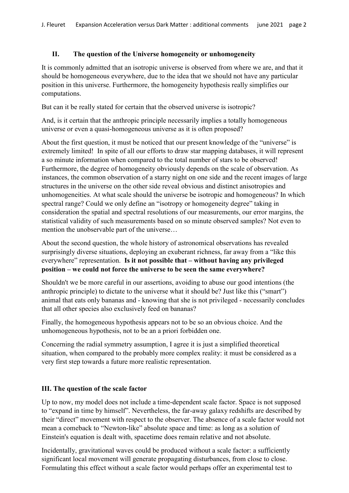# II. The question of the Universe homogeneity or unhomogeneity

It is commonly admitted that an isotropic universe is observed from where we are, and that it should be homogeneous everywhere, due to the idea that we should not have any particular position in this universe. Furthermore, the homogeneity hypothesis really simplifies our computations.

But can it be really stated for certain that the observed universe is isotropic?

And, is it certain that the anthropic principle necessarily implies a totally homogeneous universe or even a quasi-homogeneous universe as it is often proposed?

About the first question, it must be noticed that our present knowledge of the "universe" is extremely limited! In spite of all our efforts to draw star mapping databases, it will represent a so minute information when compared to the total number of stars to be observed! Furthermore, the degree of homogeneity obviously depends on the scale of observation. As instances, the common observation of a starry night on one side and the recent images of large structures in the universe on the other side reveal obvious and distinct anisotropies and unhomogeneities. At what scale should the universe be isotropic and homogeneous? In which spectral range? Could we only define an "isotropy or homogeneity degree" taking in consideration the spatial and spectral resolutions of our measurements, our error margins, the statistical validity of such measurements based on so minute observed samples? Not even to mention the unobservable part of the universe…

About the second question, the whole history of astronomical observations has revealed surprisingly diverse situations, deploying an exuberant richness, far away from a "like this everywhere" representation. Is it not possible that – without having any privileged position – we could not force the universe to be seen the same everywhere?

Shouldn't we be more careful in our assertions, avoiding to abuse our good intentions (the anthropic principle) to dictate to the universe what it should be? Just like this ("smart") animal that eats only bananas and - knowing that she is not privileged - necessarily concludes that all other species also exclusively feed on bananas?

Finally, the homogeneous hypothesis appears not to be so an obvious choice. And the unhomogeneous hypothesis, not to be an a priori forbidden one.

Concerning the radial symmetry assumption, I agree it is just a simplified theoretical situation, when compared to the probably more complex reality: it must be considered as a very first step towards a future more realistic representation.

# III. The question of the scale factor

Up to now, my model does not include a time-dependent scale factor. Space is not supposed to "expand in time by himself". Nevertheless, the far-away galaxy redshifts are described by their "direct" movement with respect to the observer. The absence of a scale factor would not mean a comeback to "Newton-like" absolute space and time: as long as a solution of Einstein's equation is dealt with, spacetime does remain relative and not absolute.

Incidentally, gravitational waves could be produced without a scale factor: a sufficiently significant local movement will generate propagating disturbances, from close to close. Formulating this effect without a scale factor would perhaps offer an experimental test to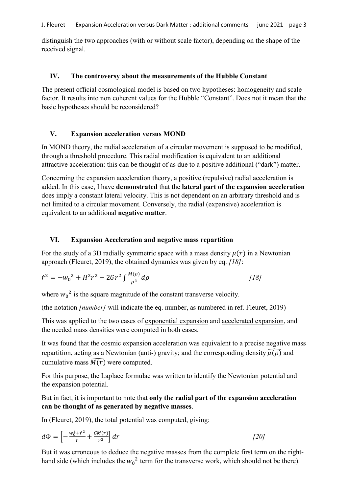distinguish the two approaches (with or without scale factor), depending on the shape of the received signal.

### IV. The controversy about the measurements of the Hubble Constant

The present official cosmological model is based on two hypotheses: homogeneity and scale factor. It results into non coherent values for the Hubble "Constant". Does not it mean that the basic hypotheses should be reconsidered?

### V. Expansion acceleration versus MOND

In MOND theory, the radial acceleration of a circular movement is supposed to be modified, through a threshold procedure. This radial modification is equivalent to an additional attractive acceleration: this can be thought of as due to a positive additional ("dark") matter.

Concerning the expansion acceleration theory, a positive (repulsive) radial acceleration is added. In this case, I have demonstrated that the lateral part of the expansion acceleration does imply a constant lateral velocity. This is not dependent on an arbitrary threshold and is not limited to a circular movement. Conversely, the radial (expansive) acceleration is equivalent to an additional negative matter.

### VI. Expansion Acceleration and negative mass repartition

For the study of a 3D radially symmetric space with a mass density  $\mu(r)$  in a Newtonian approach (Fleuret, 2019), the obtained dynamics was given by eq. *[18]*:

$$
\dot{r}^2 = -w_0^2 + H^2 r^2 - 2G r^2 \int \frac{M(\rho)}{\rho^4} d\rho
$$
 [18]

where  $w_0^2$  is the square magnitude of the constant transverse velocity.

(the notation *[number]* will indicate the eq. number, as numbered in ref. Fleuret, 2019)

This was applied to the two cases of exponential expansion and accelerated expansion, and the needed mass densities were computed in both cases.

It was found that the cosmic expansion acceleration was equivalent to a precise negative mass repartition, acting as a Newtonian (anti-) gravity; and the corresponding density  $\widehat{\mu(\rho)}$  and cumulative mass  $\widehat{M(r)}$  were computed.

For this purpose, the Laplace formulae was written to identify the Newtonian potential and the expansion potential.

But in fact, it is important to note that only the radial part of the expansion acceleration can be thought of as generated by negative masses.

In (Fleuret, 2019), the total potential was computed, giving:

$$
d\Phi = \left[ -\frac{w_0^2 + r^2}{r} + \frac{GM(r)}{r^2} \right] dr \tag{20}
$$

But it was erroneous to deduce the negative masses from the complete first term on the righthand side (which includes the  $w_0^2$  term for the transverse work, which should not be there).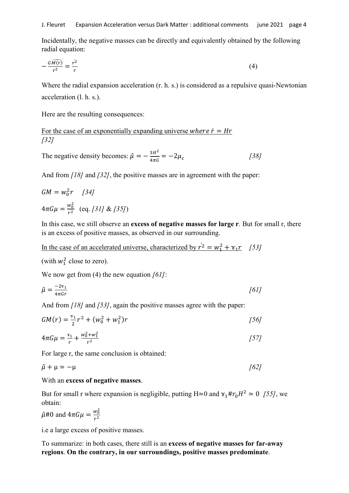Incidentally, the negative masses can be directly and equivalently obtained by the following radial equation:

$$
-\frac{G\widehat{M(r)}}{r^2} = \frac{\dot{r}^2}{r}
$$
 (4)

Where the radial expansion acceleration (r. h. s.) is considered as a repulsive quasi-Newtonian acceleration (l. h. s.).

Here are the resulting consequences:

For the case of an exponentially expanding universe where  $\dot{r} = Hr$ *[32]*

The negative density becomes:  $\hat{\mu} = -\frac{3H^2}{4\pi G} = -2\mu_c$  [38]

And from *[18]* and *[32]*, the positive masses are in agreement with the paper:

$$
GM = w_0^2 r \quad [34]
$$
  

$$
4\pi G\mu = \frac{w_0^2}{r^2} \quad (eq. [31] \& [35])
$$

In this case, we still observe an excess of negative masses for large r. But for small r, there is an excess of positive masses, as observed in our surrounding.

In the case of an accelerated universe, characterized by  $\dot{r}^2 = w_1^2 + \gamma_1 r$  [53]

(with 
$$
w_1^2
$$
 close to zero).

We now get from (4) the new equation *[61]*:

$$
\hat{\mu} = \frac{-2\gamma_1}{4\pi G r} \tag{61}
$$

And from *[18]* and *[53]*, again the positive masses agree with the paper:

$$
GM(r) = \frac{\tau_1}{2}r^2 + (w_0^2 + w_1^2)r
$$
 [56]

$$
4\pi G\mu = \frac{x_1}{r} + \frac{w_0^2 + w_1^2}{r^2} \tag{57}
$$

For large r, the same conclusion is obtained:

$$
\hat{\mu} + \mu \simeq -\mu \tag{62}
$$

#### With an excess of negative masses.

But for small r where expansion is negligible, putting H≃0 and  $\gamma_1 \# r_0 H^2 \approx 0$  [55], we obtain:

 $\hat{\mu}$ #0 and  $4\pi G\mu = \frac{w_0^2}{r^2}$  $r^2$ 

i.e a large excess of positive masses.

To summarize: in both cases, there still is an excess of negative masses for far-away regions. On the contrary, in our surroundings, positive masses predominate.